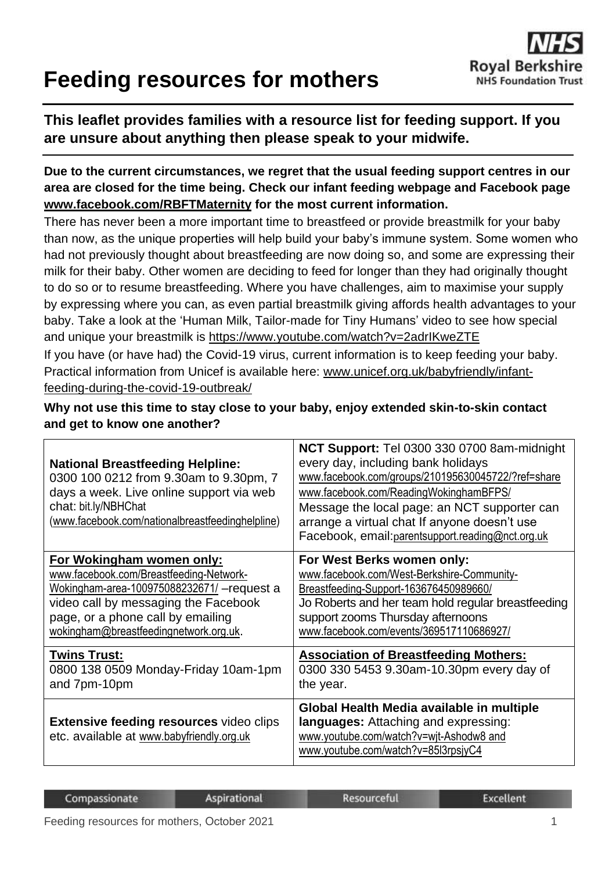# **Feeding resources for mothers**



### **This leaflet provides families with a resource list for feeding support. If you are unsure about anything then please speak to your midwife.**

**Due to the current circumstances, we regret that the usual feeding support centres in our area are closed for the time being. Check our infant feeding webpage and Facebook page [www.facebook.com/RBFTMaternity](http://www.facebook.com/RBFTMaternity) for the most current information.** 

There has never been a more important time to breastfeed or provide breastmilk for your baby than now, as the unique properties will help build your baby's immune system. Some women who had not previously thought about breastfeeding are now doing so, and some are expressing their milk for their baby. Other women are deciding to feed for longer than they had originally thought to do so or to resume breastfeeding. Where you have challenges, aim to maximise your supply by expressing where you can, as even partial breastmilk giving affords health advantages to your baby. Take a look at the 'Human Milk, Tailor-made for Tiny Humans' video to see how special and unique your breastmilk is<https://www.youtube.com/watch?v=2adrIKweZTE> If you have (or have had) the Covid-19 virus, current information is to keep feeding your baby. Practical information from Unicef is available here: [www.unicef.org.uk/babyfriendly/infant-](http://www.unicef.org.uk/babyfriendly/infant-feeding-during-the-covid-19-outbreak/)

[feeding-during-the-covid-19-outbreak/](http://www.unicef.org.uk/babyfriendly/infant-feeding-during-the-covid-19-outbreak/)

**Why not use this time to stay close to your baby, enjoy extended skin-to-skin contact and get to know one another?**

| <b>National Breastfeeding Helpline:</b><br>0300 100 0212 from 9.30am to 9.30pm, 7<br>days a week. Live online support via web<br>chat: bit.ly/NBHChat<br>(www.facebook.com/nationalbreastfeedinghelpline) | NCT Support: Tel 0300 330 0700 8am-midnight<br>every day, including bank holidays<br>www.facebook.com/groups/210195630045722/?ref=share<br>www.facebook.com/ReadingWokinghamBFPS/<br>Message the local page: an NCT supporter can<br>arrange a virtual chat If anyone doesn't use<br>Facebook, email: parentsupport.reading@nct.org.uk |
|-----------------------------------------------------------------------------------------------------------------------------------------------------------------------------------------------------------|----------------------------------------------------------------------------------------------------------------------------------------------------------------------------------------------------------------------------------------------------------------------------------------------------------------------------------------|
| For Wokingham women only:                                                                                                                                                                                 | For West Berks women only:                                                                                                                                                                                                                                                                                                             |
| www.facebook.com/Breastfeeding-Network-                                                                                                                                                                   | www.facebook.com/West-Berkshire-Community-                                                                                                                                                                                                                                                                                             |
| Wokingham-area-100975088232671/ - request a                                                                                                                                                               | Breastfeeding-Support-163676450989660/                                                                                                                                                                                                                                                                                                 |
| video call by messaging the Facebook                                                                                                                                                                      | Jo Roberts and her team hold regular breastfeeding                                                                                                                                                                                                                                                                                     |
| page, or a phone call by emailing                                                                                                                                                                         | support zooms Thursday afternoons                                                                                                                                                                                                                                                                                                      |
| wokingham@breastfeedingnetwork.org.uk.                                                                                                                                                                    | www.facebook.com/events/369517110686927/                                                                                                                                                                                                                                                                                               |
| <b>Twins Trust:</b>                                                                                                                                                                                       | <b>Association of Breastfeeding Mothers:</b>                                                                                                                                                                                                                                                                                           |
| 0800 138 0509 Monday-Friday 10am-1pm                                                                                                                                                                      | 0300 330 5453 9.30am-10.30pm every day of                                                                                                                                                                                                                                                                                              |
| and 7pm-10pm                                                                                                                                                                                              | the year.                                                                                                                                                                                                                                                                                                                              |
| <b>Extensive feeding resources video clips</b><br>etc. available at www.babyfriendly.org.uk                                                                                                               | Global Health Media available in multiple<br>languages: Attaching and expressing:<br>www.youtube.com/watch?v=wit-Ashodw8 and<br>www.youtube.com/watch?v=85l3rpsjyC4                                                                                                                                                                    |

| Compassionate |  | <b>Aspirational</b>                                 | Resourceful | Excellent |  |
|---------------|--|-----------------------------------------------------|-------------|-----------|--|
|               |  | $\sim$ $\sim$ $\sim$ $\sim$<br>$\sim$ $\sim$ $\sim$ |             |           |  |